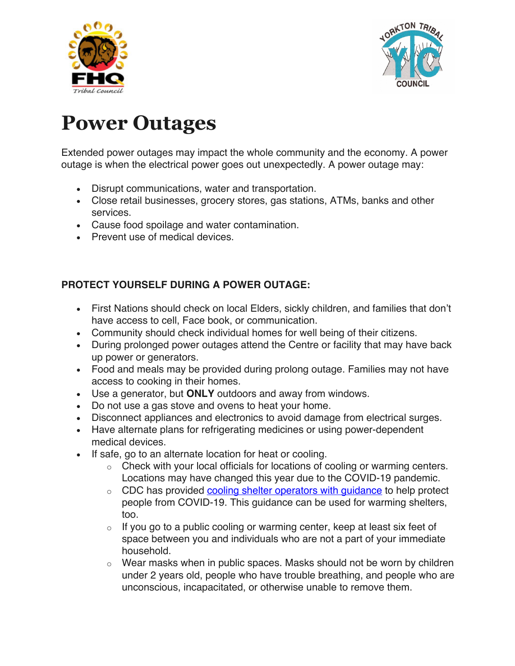



# **Power Outages**

Extended power outages may impact the whole community and the economy. A power outage is when the electrical power goes out unexpectedly. A power outage may:

- Disrupt communications, water and transportation.
- Close retail businesses, grocery stores, gas stations, ATMs, banks and other services.
- Cause food spoilage and water contamination.
- Prevent use of medical devices.

#### **PROTECT YOURSELF DURING A POWER OUTAGE:**

- First Nations should check on local Elders, sickly children, and families that don't have access to cell, Face book, or communication.
- Community should check individual homes for well being of their citizens.
- During prolonged power outages attend the Centre or facility that may have back up power or generators.
- Food and meals may be provided during prolong outage. Families may not have access to cooking in their homes.
- Use a generator, but **ONLY** outdoors and away from windows.
- Do not use a gas stove and ovens to heat your home.
- Disconnect appliances and electronics to avoid damage from electrical surges.
- Have alternate plans for refrigerating medicines or using power-dependent medical devices.
- If safe, go to an alternate location for heat or cooling.
	- $\circ$  Check with your local officials for locations of cooling or warming centers. Locations may have changed this year due to the COVID-19 pandemic.
	- o CDC has provided cooling shelter operators with guidance to help protect people from COVID-19. This guidance can be used for warming shelters, too.
	- $\circ$  If you go to a public cooling or warming center, keep at least six feet of space between you and individuals who are not a part of your immediate household.
	- $\circ$  Wear masks when in public spaces. Masks should not be worn by children under 2 years old, people who have trouble breathing, and people who are unconscious, incapacitated, or otherwise unable to remove them.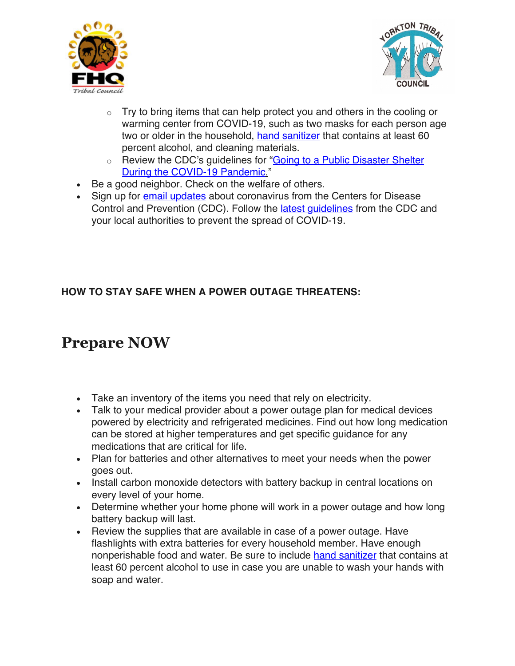



- $\circ$  Try to bring items that can help protect you and others in the cooling or warming center from COVID-19, such as two masks for each person age two or older in the household, hand sanitizer that contains at least 60 percent alcohol, and cleaning materials.
- o Review the CDC's guidelines for "**Going to a Public Disaster Shelter** During the COVID-19 Pandemic."
- Be a good neighbor. Check on the welfare of others.
- Sign up for email updates about coronavirus from the Centers for Disease Control and Prevention (CDC). Follow the latest guidelines from the CDC and your local authorities to prevent the spread of COVID-19.

#### **HOW TO STAY SAFE WHEN A POWER OUTAGE THREATENS:**

## **Prepare NOW**

- Take an inventory of the items you need that rely on electricity.
- Talk to your medical provider about a power outage plan for medical devices powered by electricity and refrigerated medicines. Find out how long medication can be stored at higher temperatures and get specific guidance for any medications that are critical for life.
- Plan for batteries and other alternatives to meet your needs when the power goes out.
- Install carbon monoxide detectors with battery backup in central locations on every level of your home.
- Determine whether your home phone will work in a power outage and how long battery backup will last.
- Review the supplies that are available in case of a power outage. Have flashlights with extra batteries for every household member. Have enough nonperishable food and water. Be sure to include hand sanitizer that contains at least 60 percent alcohol to use in case you are unable to wash your hands with soap and water.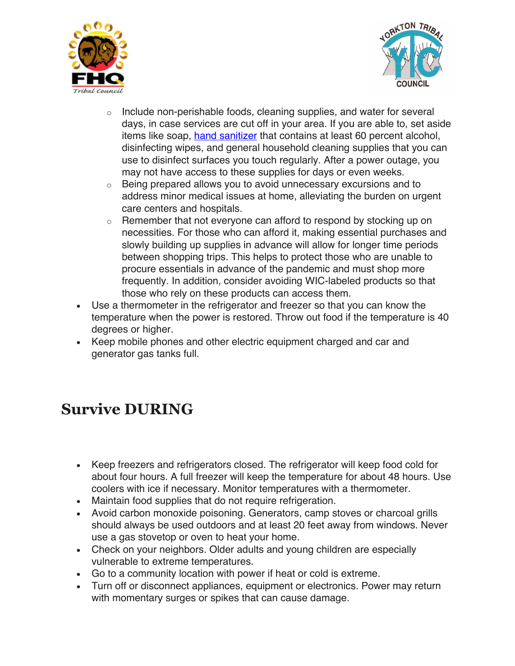



- $\circ$  Include non-perishable foods, cleaning supplies, and water for several days, in case services are cut off in your area. If you are able to, set aside items like soap, hand sanitizer that contains at least 60 percent alcohol, disinfecting wipes, and general household cleaning supplies that you can use to disinfect surfaces you touch regularly. After a power outage, you may not have access to these supplies for days or even weeks.
- $\circ$  Being prepared allows you to avoid unnecessary excursions and to address minor medical issues at home, alleviating the burden on urgent care centers and hospitals.
- o Remember that not everyone can afford to respond by stocking up on necessities. For those who can afford it, making essential purchases and slowly building up supplies in advance will allow for longer time periods between shopping trips. This helps to protect those who are unable to procure essentials in advance of the pandemic and must shop more frequently. In addition, consider avoiding WIC-labeled products so that those who rely on these products can access them.
- Use a thermometer in the refrigerator and freezer so that you can know the temperature when the power is restored. Throw out food if the temperature is 40 degrees or higher.
- Keep mobile phones and other electric equipment charged and car and generator gas tanks full.

## **Survive DURING**

- Keep freezers and refrigerators closed. The refrigerator will keep food cold for about four hours. A full freezer will keep the temperature for about 48 hours. Use coolers with ice if necessary. Monitor temperatures with a thermometer.
- Maintain food supplies that do not require refrigeration.
- Avoid carbon monoxide poisoning. Generators, camp stoves or charcoal grills should always be used outdoors and at least 20 feet away from windows. Never use a gas stovetop or oven to heat your home.
- Check on your neighbors. Older adults and young children are especially vulnerable to extreme temperatures.
- Go to a community location with power if heat or cold is extreme.
- Turn off or disconnect appliances, equipment or electronics. Power may return with momentary surges or spikes that can cause damage.